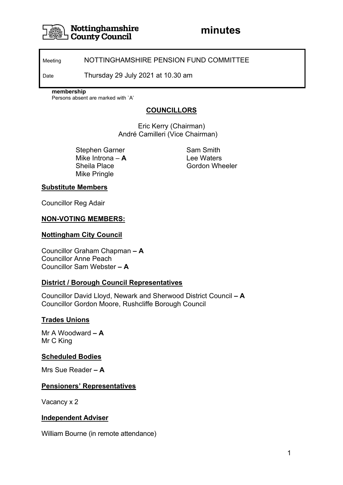

Meeting NOTTINGHAMSHIRE PENSION FUND COMMITTEE

Date Thursday 29 July 2021 at 10.30 am

**membership**

Persons absent are marked with `A'

# **COUNCILLORS**

Eric Kerry (Chairman) André Camilleri (Vice Chairman)

Stephen Garner Sam Smith Mike Introna – **A** Lee Waters Mike Pringle

Sheila Place Gordon Wheeler

#### **Substitute Members**

Councillor Reg Adair

#### **NON-VOTING MEMBERS:**

#### **Nottingham City Council**

Councillor Graham Chapman **– A** Councillor Anne Peach Councillor Sam Webster **– A**

#### **District / Borough Council Representatives**

Councillor David Lloyd, Newark and Sherwood District Council **– A** Councillor Gordon Moore, Rushcliffe Borough Council

#### **Trades Unions**

Mr A Woodward **– A** Mr C King

#### **Scheduled Bodies**

Mrs Sue Reader **– A**

#### **Pensioners' Representatives**

Vacancy x 2

#### **Independent Adviser**

William Bourne (in remote attendance)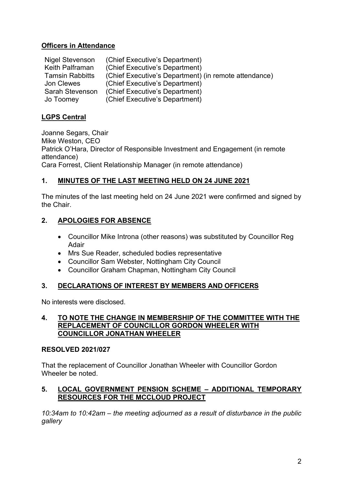# **Officers in Attendance**

| Nigel Stevenson        | (Chief Executive's Department)                        |
|------------------------|-------------------------------------------------------|
| Keith Palframan        | (Chief Executive's Department)                        |
| <b>Tamsin Rabbitts</b> | (Chief Executive's Department) (in remote attendance) |
| Jon Clewes             | (Chief Executive's Department)                        |
| Sarah Stevenson        | (Chief Executive's Department)                        |
| Jo Toomey              | (Chief Executive's Department)                        |

# **LGPS Central**

Joanne Segars, Chair Mike Weston, CEO Patrick O'Hara, Director of Responsible Investment and Engagement (in remote attendance) Cara Forrest, Client Relationship Manager (in remote attendance)

# **1. MINUTES OF THE LAST MEETING HELD ON 24 JUNE 2021**

The minutes of the last meeting held on 24 June 2021 were confirmed and signed by the Chair.

# **2. APOLOGIES FOR ABSENCE**

- Councillor Mike Introna (other reasons) was substituted by Councillor Reg Adair
- Mrs Sue Reader, scheduled bodies representative
- Councillor Sam Webster, Nottingham City Council
- Councillor Graham Chapman, Nottingham City Council

## **3. DECLARATIONS OF INTEREST BY MEMBERS AND OFFICERS**

No interests were disclosed.

## **4. TO NOTE THE CHANGE IN MEMBERSHIP OF THE COMMITTEE WITH THE REPLACEMENT OF COUNCILLOR GORDON WHEELER WITH COUNCILLOR JONATHAN WHEELER**

## **RESOLVED 2021/027**

That the replacement of Councillor Jonathan Wheeler with Councillor Gordon Wheeler be noted.

## **5. LOCAL GOVERNMENT PENSION SCHEME – ADDITIONAL TEMPORARY RESOURCES FOR THE MCCLOUD PROJECT**

*10:34am to 10:42am – the meeting adjourned as a result of disturbance in the public gallery*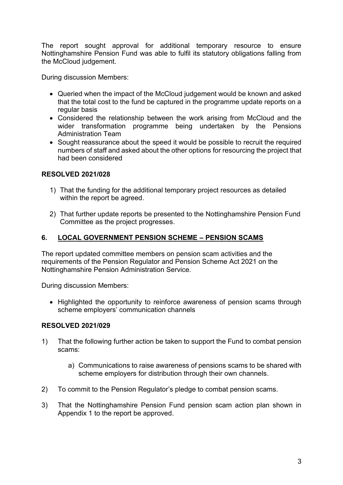The report sought approval for additional temporary resource to ensure Nottinghamshire Pension Fund was able to fulfil its statutory obligations falling from the McCloud judgement.

During discussion Members:

- Queried when the impact of the McCloud judgement would be known and asked that the total cost to the fund be captured in the programme update reports on a regular basis
- Considered the relationship between the work arising from McCloud and the wider transformation programme being undertaken by the Pensions Administration Team
- Sought reassurance about the speed it would be possible to recruit the required numbers of staff and asked about the other options for resourcing the project that had been considered

## **RESOLVED 2021/028**

- 1) That the funding for the additional temporary project resources as detailed within the report be agreed.
- 2) That further update reports be presented to the Nottinghamshire Pension Fund Committee as the project progresses.

## **6. LOCAL GOVERNMENT PENSION SCHEME – PENSION SCAMS**

The report updated committee members on pension scam activities and the requirements of the Pension Regulator and Pension Scheme Act 2021 on the Nottinghamshire Pension Administration Service.

During discussion Members:

• Highlighted the opportunity to reinforce awareness of pension scams through scheme employers' communication channels

### **RESOLVED 2021/029**

- 1) That the following further action be taken to support the Fund to combat pension scams:
	- a) Communications to raise awareness of pensions scams to be shared with scheme employers for distribution through their own channels.
- 2) To commit to the Pension Regulator's pledge to combat pension scams.
- 3) That the Nottinghamshire Pension Fund pension scam action plan shown in Appendix 1 to the report be approved.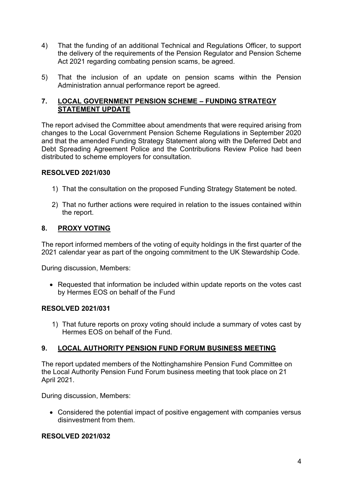- 4) That the funding of an additional Technical and Regulations Officer, to support the delivery of the requirements of the Pension Regulator and Pension Scheme Act 2021 regarding combating pension scams, be agreed.
- 5) That the inclusion of an update on pension scams within the Pension Administration annual performance report be agreed.

## **7. LOCAL GOVERNMENT PENSION SCHEME – FUNDING STRATEGY STATEMENT UPDATE**

The report advised the Committee about amendments that were required arising from changes to the Local Government Pension Scheme Regulations in September 2020 and that the amended Funding Strategy Statement along with the Deferred Debt and Debt Spreading Agreement Police and the Contributions Review Police had been distributed to scheme employers for consultation.

## **RESOLVED 2021/030**

- 1) That the consultation on the proposed Funding Strategy Statement be noted.
- 2) That no further actions were required in relation to the issues contained within the report.

## **8. PROXY VOTING**

The report informed members of the voting of equity holdings in the first quarter of the 2021 calendar year as part of the ongoing commitment to the UK Stewardship Code.

During discussion, Members:

• Requested that information be included within update reports on the votes cast by Hermes EOS on behalf of the Fund

#### **RESOLVED 2021/031**

1) That future reports on proxy voting should include a summary of votes cast by Hermes EOS on behalf of the Fund.

## **9. LOCAL AUTHORITY PENSION FUND FORUM BUSINESS MEETING**

The report updated members of the Nottinghamshire Pension Fund Committee on the Local Authority Pension Fund Forum business meeting that took place on 21 April 2021.

During discussion, Members:

• Considered the potential impact of positive engagement with companies versus disinvestment from them.

#### **RESOLVED 2021/032**